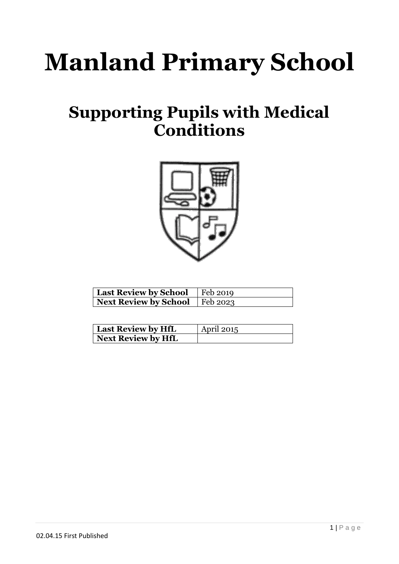# **Manland Primary School**

# **Supporting Pupils with Medical Conditions**



| <b>Last Review by School</b>     | $\vert$ Feb 2019 |
|----------------------------------|------------------|
| Next Review by School   Feb 2023 |                  |

| <b>Last Review by HfL</b> | <b>April 2015</b> |
|---------------------------|-------------------|
| Next Review by HfL        |                   |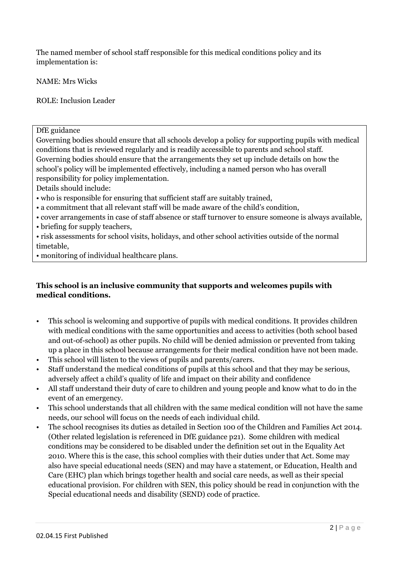The named member of school staff responsible for this medical conditions policy and its implementation is:

NAME: Mrs Wicks

ROLE: Inclusion Leader

DfE guidance

Governing bodies should ensure that all schools develop a policy for supporting pupils with medical conditions that is reviewed regularly and is readily accessible to parents and school staff. Governing bodies should ensure that the arrangements they set up include details on how the school's policy will be implemented effectively, including a named person who has overall responsibility for policy implementation.

Details should include:

- who is responsible for ensuring that sufficient staff are suitably trained,
- a commitment that all relevant staff will be made aware of the child's condition,
- cover arrangements in case of staff absence or staff turnover to ensure someone is always available,
- briefing for supply teachers,
- risk assessments for school visits, holidays, and other school activities outside of the normal timetable,
- monitoring of individual healthcare plans.

#### **This school is an inclusive community that supports and welcomes pupils with medical conditions.**

- This school is welcoming and supportive of pupils with medical conditions. It provides children with medical conditions with the same opportunities and access to activities (both school based and out-of-school) as other pupils. No child will be denied admission or prevented from taking up a place in this school because arrangements for their medical condition have not been made.
- This school will listen to the views of pupils and parents/carers.
- Staff understand the medical conditions of pupils at this school and that they may be serious, adversely affect a child's quality of life and impact on their ability and confidence
- All staff understand their duty of care to children and young people and know what to do in the event of an emergency.
- This school understands that all children with the same medical condition will not have the same needs, our school will focus on the needs of each individual child.
- The school recognises its duties as detailed in Section 100 of the Children and Families Act 2014. (Other related legislation is referenced in DfE guidance p21). Some children with medical conditions may be considered to be disabled under the definition set out in the Equality Act 2010. Where this is the case, this school complies with their duties under that Act. Some may also have special educational needs (SEN) and may have a statement, or Education, Health and Care (EHC) plan which brings together health and social care needs, as well as their special educational provision. For children with SEN, this policy should be read in conjunction with the Special educational needs and disability (SEND) code of practice.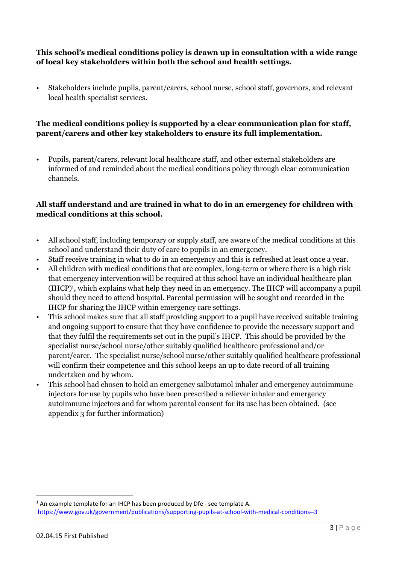#### **This school's medical conditions policy is drawn up in consultation with a wide range of local key stakeholders within both the school and health settings.**

• Stakeholders include pupils, parent/carers, school nurse, school staff, governors, and relevant local health specialist services.

#### **The medical conditions policy is supported by a clear communication plan for staff, parent/carers and other key stakeholders to ensure its full implementation.**

• Pupils, parent/carers, relevant local healthcare staff, and other external stakeholders are informed of and reminded about the medical conditions policy through clear communication channels.

#### **All staff understand and are trained in what to do in an emergency for children with medical conditions at this school.**

- All school staff, including temporary or supply staff, are aware of the medical conditions at this school and understand their duty of care to pupils in an emergency.
- Staff receive training in what to do in an emergency and this is refreshed at least once a year.
- All children with medical conditions that are complex, long-term or where there is a high risk that emergency intervention will be required at this school have an individual healthcare plan (IHCP) 1 , which explains what help they need in an emergency. The IHCP will accompany a pupil should they need to attend hospital. Parental permission will be sought and recorded in the IHCP for sharing the IHCP within emergency care settings.
- This school makes sure that all staff providing support to a pupil have received suitable training and ongoing support to ensure that they have confidence to provide the necessary support and that they fulfil the requirements set out in the pupil's IHCP. This should be provided by the specialist nurse/school nurse/other suitably qualified healthcare professional and/or parent/carer. The specialist nurse/school nurse/other suitably qualified healthcare professional will confirm their competence and this school keeps an up to date record of all training undertaken and by whom.
- This school had chosen to hold an emergency salbutamol inhaler and emergency autoimmune injectors for use by pupils who have been prescribed a reliever inhaler and emergency autoimmune injectors and for whom parental consent for its use has been obtained. (see appendix 3 for further information)

1

<sup>&</sup>lt;sup>1</sup> An example template for an IHCP has been produced by Dfe - see template A. <https://www.gov.uk/government/publications/supporting-pupils-at-school-with-medical-conditions--3>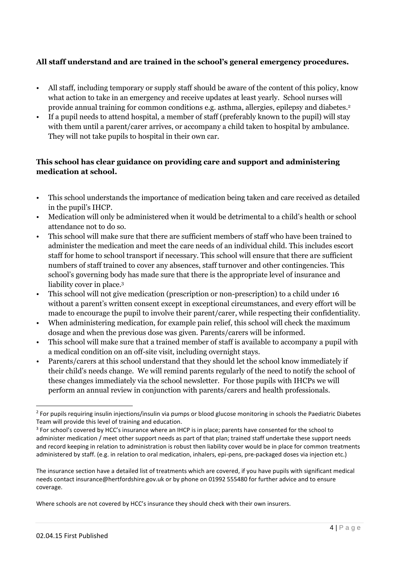#### **All staff understand and are trained in the school's general emergency procedures.**

- All staff, including temporary or supply staff should be aware of the content of this policy, know what action to take in an emergency and receive updates at least yearly. School nurses will provide annual training for common conditions e.g. asthma, allergies, epilepsy and diabetes.<sup>2</sup>
- If a pupil needs to attend hospital, a member of staff (preferably known to the pupil) will stay with them until a parent/carer arrives, or accompany a child taken to hospital by ambulance. They will not take pupils to hospital in their own car.

#### **This school has clear guidance on providing care and support and administering medication at school.**

- This school understands the importance of medication being taken and care received as detailed in the pupil's IHCP.
- Medication will only be administered when it would be detrimental to a child's health or school attendance not to do so.
- This school will make sure that there are sufficient members of staff who have been trained to administer the medication and meet the care needs of an individual child. This includes escort staff for home to school transport if necessary. This school will ensure that there are sufficient numbers of staff trained to cover any absences, staff turnover and other contingencies. This school's governing body has made sure that there is the appropriate level of insurance and liability cover in place.<sup>3</sup>
- This school will not give medication (prescription or non-prescription) to a child under 16 without a parent's written consent except in exceptional circumstances, and every effort will be made to encourage the pupil to involve their parent/carer, while respecting their confidentiality.
- When administering medication, for example pain relief, this school will check the maximum dosage and when the previous dose was given. Parents/carers will be informed.
- This school will make sure that a trained member of staff is available to accompany a pupil with a medical condition on an off-site visit, including overnight stays.
- Parents/carers at this school understand that they should let the school know immediately if their child's needs change. We will remind parents regularly of the need to notify the school of these changes immediately via the school newsletter. For those pupils with IHCPs we will perform an annual review in conjunction with parents/carers and health professionals.

Where schools are not covered by HCC's insurance they should check with their own insurers.

<sup>1</sup> <sup>2</sup> For pupils requiring insulin injections/insulin via pumps or blood glucose monitoring in schools the Paediatric Diabetes Team will provide this level of training and education.

<sup>&</sup>lt;sup>3</sup> For school's covered by HCC's insurance where an IHCP is in place; parents have consented for the school to administer medication / meet other support needs as part of that plan; trained staff undertake these support needs and record keeping in relation to administration is robust then liability cover would be in place for common treatments administered by staff. (e.g. in relation to oral medication, inhalers, epi-pens, pre-packaged doses via injection etc.)

The insurance section have a detailed list of treatments which are covered, if you have pupils with significant medical needs contact insurance@hertfordshire.gov.uk or by phone on 01992 555480 for further advice and to ensure coverage.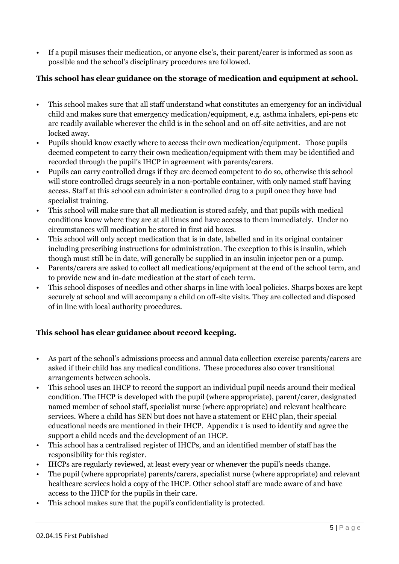• If a pupil misuses their medication, or anyone else's, their parent/carer is informed as soon as possible and the school's disciplinary procedures are followed.

#### **This school has clear guidance on the storage of medication and equipment at school.**

- This school makes sure that all staff understand what constitutes an emergency for an individual child and makes sure that emergency medication/equipment, e.g. asthma inhalers, epi-pens etc are readily available wherever the child is in the school and on off-site activities, and are not locked away.
- Pupils should know exactly where to access their own medication/equipment. Those pupils deemed competent to carry their own medication/equipment with them may be identified and recorded through the pupil's IHCP in agreement with parents/carers.
- Pupils can carry controlled drugs if they are deemed competent to do so, otherwise this school will store controlled drugs securely in a non-portable container, with only named staff having access. Staff at this school can administer a controlled drug to a pupil once they have had specialist training.
- This school will make sure that all medication is stored safely, and that pupils with medical conditions know where they are at all times and have access to them immediately. Under no circumstances will medication be stored in first aid boxes.
- This school will only accept medication that is in date, labelled and in its original container including prescribing instructions for administration. The exception to this is insulin, which though must still be in date, will generally be supplied in an insulin injector pen or a pump.
- Parents/carers are asked to collect all medications/equipment at the end of the school term, and to provide new and in-date medication at the start of each term.
- This school disposes of needles and other sharps in line with local policies. Sharps boxes are kept securely at school and will accompany a child on off-site visits. They are collected and disposed of in line with local authority procedures.

#### **This school has clear guidance about record keeping.**

- As part of the school's admissions process and annual data collection exercise parents/carers are asked if their child has any medical conditions. These procedures also cover transitional arrangements between schools.
- This school uses an IHCP to record the support an individual pupil needs around their medical condition. The IHCP is developed with the pupil (where appropriate), parent/carer, designated named member of school staff, specialist nurse (where appropriate) and relevant healthcare services. Where a child has SEN but does not have a statement or EHC plan, their special educational needs are mentioned in their IHCP. Appendix 1 is used to identify and agree the support a child needs and the development of an IHCP.
- This school has a centralised register of IHCPs, and an identified member of staff has the responsibility for this register.
- IHCPs are regularly reviewed, at least every year or whenever the pupil's needs change.
- The pupil (where appropriate) parents/carers, specialist nurse (where appropriate) and relevant healthcare services hold a copy of the IHCP. Other school staff are made aware of and have access to the IHCP for the pupils in their care.
- This school makes sure that the pupil's confidentiality is protected.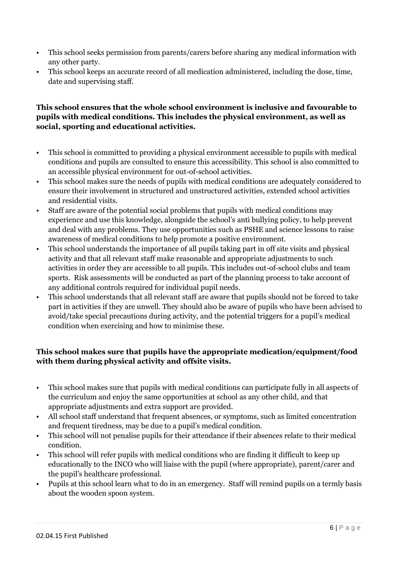- This school seeks permission from parents/carers before sharing any medical information with any other party.
- This school keeps an accurate record of all medication administered, including the dose, time, date and supervising staff.

#### **This school ensures that the whole school environment is inclusive and favourable to pupils with medical conditions. This includes the physical environment, as well as social, sporting and educational activities.**

- This school is committed to providing a physical environment accessible to pupils with medical conditions and pupils are consulted to ensure this accessibility. This school is also committed to an accessible physical environment for out-of-school activities.
- This school makes sure the needs of pupils with medical conditions are adequately considered to ensure their involvement in structured and unstructured activities, extended school activities and residential visits.
- Staff are aware of the potential social problems that pupils with medical conditions may experience and use this knowledge, alongside the school's anti bullying policy, to help prevent and deal with any problems. They use opportunities such as PSHE and science lessons to raise awareness of medical conditions to help promote a positive environment.
- This school understands the importance of all pupils taking part in off site visits and physical activity and that all relevant staff make reasonable and appropriate adjustments to such activities in order they are accessible to all pupils. This includes out-of-school clubs and team sports. Risk assessments will be conducted as part of the planning process to take account of any additional controls required for individual pupil needs.
- This school understands that all relevant staff are aware that pupils should not be forced to take part in activities if they are unwell. They should also be aware of pupils who have been advised to avoid/take special precautions during activity, and the potential triggers for a pupil's medical condition when exercising and how to minimise these.

#### **This school makes sure that pupils have the appropriate medication/equipment/food with them during physical activity and offsite visits.**

- This school makes sure that pupils with medical conditions can participate fully in all aspects of the curriculum and enjoy the same opportunities at school as any other child, and that appropriate adjustments and extra support are provided.
- All school staff understand that frequent absences, or symptoms, such as limited concentration and frequent tiredness, may be due to a pupil's medical condition.
- This school will not penalise pupils for their attendance if their absences relate to their medical condition.
- This school will refer pupils with medical conditions who are finding it difficult to keep up educationally to the INCO who will liaise with the pupil (where appropriate), parent/carer and the pupil's healthcare professional.
- Pupils at this school learn what to do in an emergency. Staff will remind pupils on a termly basis about the wooden spoon system.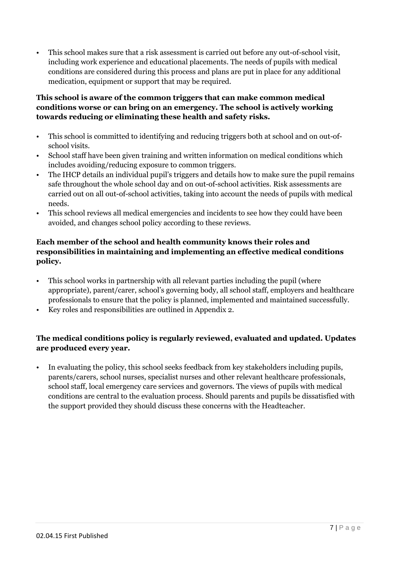• This school makes sure that a risk assessment is carried out before any out-of-school visit, including work experience and educational placements. The needs of pupils with medical conditions are considered during this process and plans are put in place for any additional medication, equipment or support that may be required.

#### **This school is aware of the common triggers that can make common medical conditions worse or can bring on an emergency. The school is actively working towards reducing or eliminating these health and safety risks.**

- This school is committed to identifying and reducing triggers both at school and on out-ofschool visits.
- School staff have been given training and written information on medical conditions which includes avoiding/reducing exposure to common triggers.
- The IHCP details an individual pupil's triggers and details how to make sure the pupil remains safe throughout the whole school day and on out-of-school activities. Risk assessments are carried out on all out-of-school activities, taking into account the needs of pupils with medical needs.
- This school reviews all medical emergencies and incidents to see how they could have been avoided, and changes school policy according to these reviews.

#### **Each member of the school and health community knows their roles and responsibilities in maintaining and implementing an effective medical conditions policy.**

- This school works in partnership with all relevant parties including the pupil (where appropriate), parent/carer, school's governing body, all school staff, employers and healthcare professionals to ensure that the policy is planned, implemented and maintained successfully.
- Key roles and responsibilities are outlined in Appendix 2.

#### **The medical conditions policy is regularly reviewed, evaluated and updated. Updates are produced every year.**

• In evaluating the policy, this school seeks feedback from key stakeholders including pupils, parents/carers, school nurses, specialist nurses and other relevant healthcare professionals, school staff, local emergency care services and governors. The views of pupils with medical conditions are central to the evaluation process. Should parents and pupils be dissatisfied with the support provided they should discuss these concerns with the Headteacher.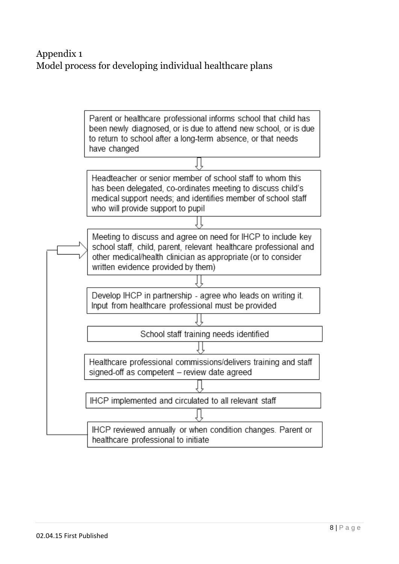# Appendix 1 Model process for developing individual healthcare plans

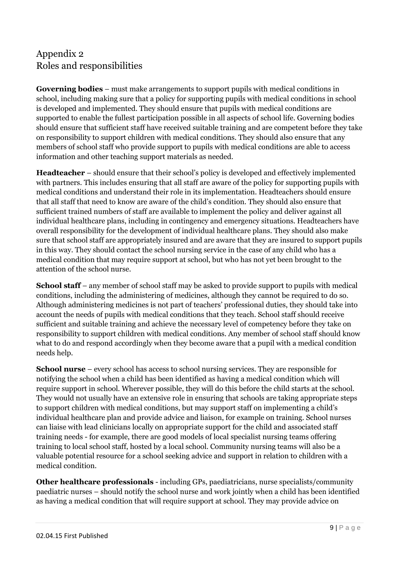## Appendix 2 Roles and responsibilities

**Governing bodies** – must make arrangements to support pupils with medical conditions in school, including making sure that a policy for supporting pupils with medical conditions in school is developed and implemented. They should ensure that pupils with medical conditions are supported to enable the fullest participation possible in all aspects of school life. Governing bodies should ensure that sufficient staff have received suitable training and are competent before they take on responsibility to support children with medical conditions. They should also ensure that any members of school staff who provide support to pupils with medical conditions are able to access information and other teaching support materials as needed.

**Headteacher** – should ensure that their school's policy is developed and effectively implemented with partners. This includes ensuring that all staff are aware of the policy for supporting pupils with medical conditions and understand their role in its implementation. Headteachers should ensure that all staff that need to know are aware of the child's condition. They should also ensure that sufficient trained numbers of staff are available to implement the policy and deliver against all individual healthcare plans, including in contingency and emergency situations. Headteachers have overall responsibility for the development of individual healthcare plans. They should also make sure that school staff are appropriately insured and are aware that they are insured to support pupils in this way. They should contact the school nursing service in the case of any child who has a medical condition that may require support at school, but who has not yet been brought to the attention of the school nurse.

**School staff** – any member of school staff may be asked to provide support to pupils with medical conditions, including the administering of medicines, although they cannot be required to do so. Although administering medicines is not part of teachers' professional duties, they should take into account the needs of pupils with medical conditions that they teach. School staff should receive sufficient and suitable training and achieve the necessary level of competency before they take on responsibility to support children with medical conditions. Any member of school staff should know what to do and respond accordingly when they become aware that a pupil with a medical condition needs help.

**School nurse** – every school has access to school nursing services. They are responsible for notifying the school when a child has been identified as having a medical condition which will require support in school. Wherever possible, they will do this before the child starts at the school. They would not usually have an extensive role in ensuring that schools are taking appropriate steps to support children with medical conditions, but may support staff on implementing a child's individual healthcare plan and provide advice and liaison, for example on training. School nurses can liaise with lead clinicians locally on appropriate support for the child and associated staff training needs - for example, there are good models of local specialist nursing teams offering training to local school staff, hosted by a local school. Community nursing teams will also be a valuable potential resource for a school seeking advice and support in relation to children with a medical condition.

**Other healthcare professionals** - including GPs, paediatricians, nurse specialists/community paediatric nurses – should notify the school nurse and work jointly when a child has been identified as having a medical condition that will require support at school. They may provide advice on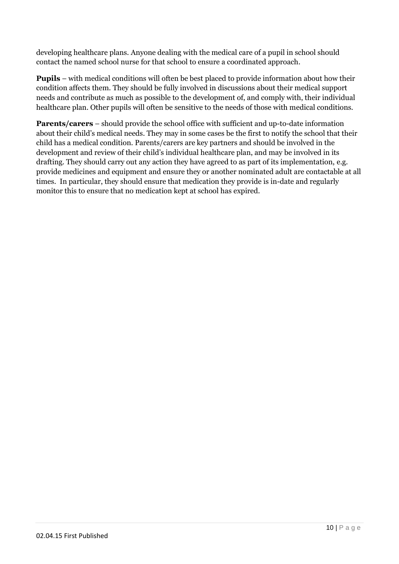developing healthcare plans. Anyone dealing with the medical care of a pupil in school should contact the named school nurse for that school to ensure a coordinated approach.

**Pupils** – with medical conditions will often be best placed to provide information about how their condition affects them. They should be fully involved in discussions about their medical support needs and contribute as much as possible to the development of, and comply with, their individual healthcare plan. Other pupils will often be sensitive to the needs of those with medical conditions.

**Parents/carers** – should provide the school office with sufficient and up-to-date information about their child's medical needs. They may in some cases be the first to notify the school that their child has a medical condition. Parents/carers are key partners and should be involved in the development and review of their child's individual healthcare plan, and may be involved in its drafting. They should carry out any action they have agreed to as part of its implementation, e.g. provide medicines and equipment and ensure they or another nominated adult are contactable at all times. In particular, they should ensure that medication they provide is in-date and regularly monitor this to ensure that no medication kept at school has expired.